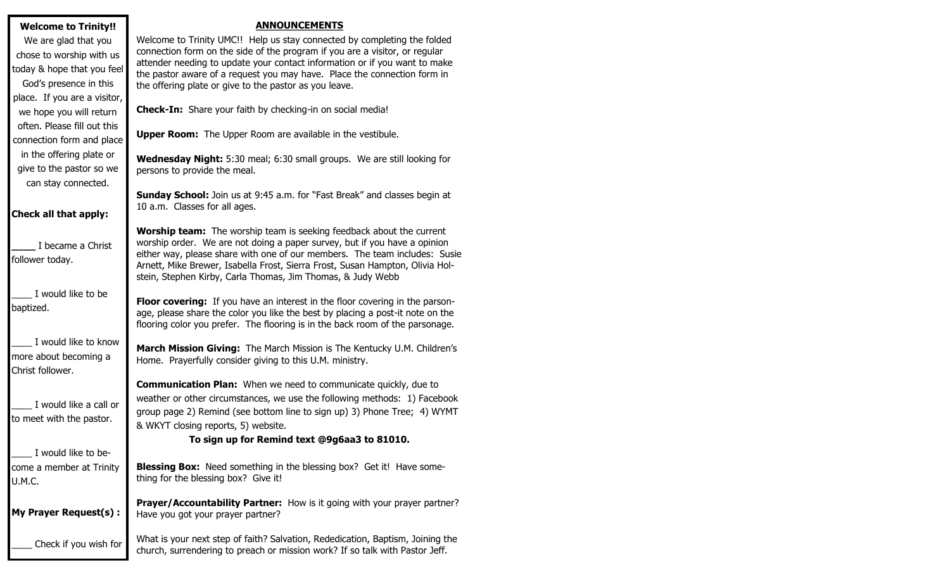#### **Welcome to Trinity!!**

We are glad that you chose to worship with us today & hope that you feel God's presence in this place. If you are a visitor, we hope you will return often. Please fill out this connection form and place in the offering plate or give to the pastor so we can stay connected.

# **Check all that apply:**

**\_\_\_\_** I became a Christ follower today.

\_\_\_\_ I would like to be baptized.

I would like to know more about becoming a Christ follower.

I would like a call or to meet with the pastor.

I would like to become a member at Trinity U.M.C.

**My Prayer Request(s) :**

\_\_\_\_ Check if you wish for

### **ANNOUNCEMENTS**

Welcome to Trinity UMC!! Help us stay connected by completing the folded connection form on the side of the program if you are a visitor, or regular attender needing to update your contact information or if you want to make the pastor aware of a request you may have. Place the connection form in the offering plate or give to the pastor as you leave.

**Check-In:** Share your faith by checking-in on social media!

**Upper Room:** The Upper Room are available in the vestibule.

**Wednesday Night:** 5:30 meal; 6:30 small groups. We are still looking for persons to provide the meal.

**Sunday School:** Join us at 9:45 a.m. for "Fast Break" and classes begin at 10 a.m. Classes for all ages.

**Worship team:** The worship team is seeking feedback about the current worship order. We are not doing a paper survey, but if you have a opinion either way, please share with one of our members. The team includes: Susie Arnett, Mike Brewer, Isabella Frost, Sierra Frost, Susan Hampton, Olivia Holstein, Stephen Kirby, Carla Thomas, Jim Thomas, & Judy Webb

**Floor covering:** If you have an interest in the floor covering in the parsonage, please share the color you like the best by placing a post-it note on the flooring color you prefer. The flooring is in the back room of the parsonage.

**March Mission Giving:** The March Mission is The Kentucky U.M. Children's Home. Prayerfully consider giving to this U.M. ministry.

**Communication Plan:** When we need to communicate quickly, due to weather or other circumstances, we use the following methods: 1) Facebook group page 2) Remind (see bottom line to sign up) 3) Phone Tree; 4) WYMT & WKYT closing reports, 5) website.

# **To sign up for Remind text @9g6aa3 to 81010.**

**Blessing Box:** Need something in the blessing box? Get it! Have something for the blessing box? Give it!

**Prayer/Accountability Partner:** How is it going with your prayer partner? Have you got your prayer partner?

What is your next step of faith? Salvation, Rededication, Baptism, Joining the church, surrendering to preach or mission work? If so talk with Pastor Jeff.